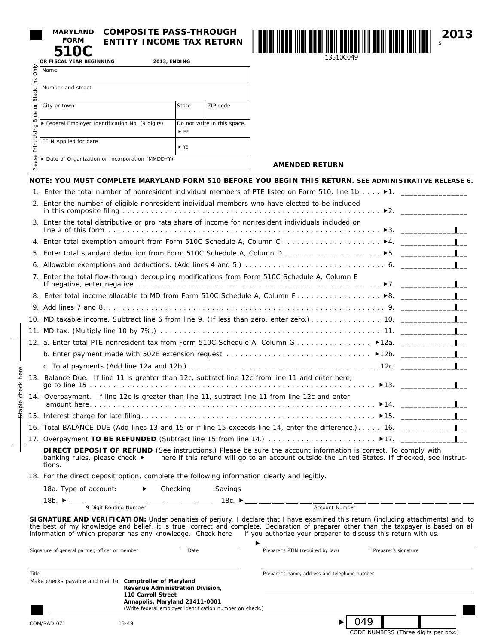| <b>FORM</b>              | <b>MARYLAND COMPOSITE PASS-</b> |
|--------------------------|---------------------------------|
| 510C                     | <b>ENTITY INCOME TA</b>         |
| OR FISCAL YEAR BEGINNING | <b>2013. ENDING</b>             |

Staple check here

Staple check here

# **COMPOSITE PASS-THROUGH ENTITY INCOME TAX RETURN**



**□ AMENDED RETURN**

| Only                        | Name                                           |                                                    |          |  |  |
|-----------------------------|------------------------------------------------|----------------------------------------------------|----------|--|--|
| Ě<br>Black                  | Number and street                              |                                                    |          |  |  |
| ৯<br>Blue<br>Using<br>Print | City or town                                   | State                                              | ZIP code |  |  |
|                             | Federal Employer Identification No. (9 digits) | Do not write in this space.<br>$\triangleright$ MF |          |  |  |
|                             | FEIN Applied for date                          | $\blacktriangleright$ YF                           |          |  |  |
| Please                      | Date of Organization or Incorporation (MMDDYY) |                                                    |          |  |  |

| NOTE: YOU MUST COMPLETE MARYLAND FORM 510 BEFORE YOU BEGIN THIS RETURN. SEE ADMINISTRATIVE RELEASE 6.                   |  |
|-------------------------------------------------------------------------------------------------------------------------|--|
| 1. Enter the total number of nonresident individual members of PTE listed on Form 510, line 1b $\blacktriangleright$ 1. |  |
| 2. Enter the number of eligible nonresident individual members who have elected to be included                          |  |
| 3. Enter the total distributive or pro rata share of income for nonresident individuals included on                     |  |
|                                                                                                                         |  |
|                                                                                                                         |  |
|                                                                                                                         |  |
| 7. Enter the total flow-through decoupling modifications from Form 510C Schedule A, Column E                            |  |
|                                                                                                                         |  |
|                                                                                                                         |  |
|                                                                                                                         |  |
|                                                                                                                         |  |
|                                                                                                                         |  |
|                                                                                                                         |  |
|                                                                                                                         |  |
| 13. Balance Due. If line 11 is greater than 12c, subtract line 12c from line 11 and enter here;                         |  |
| 14. Overpayment. If line 12c is greater than line 11, subtract line 11 from line 12c and enter                          |  |
|                                                                                                                         |  |
| 16. Total BALANCE DUE (Add lines 13 and 15 or if line 15 exceeds line 14, enter the difference.) 16. ____________       |  |
|                                                                                                                         |  |

 **DIRECT DEPOSIT OF REFUND** (See instructions.) Please be sure the account information is correct. To comply with banking rules, please check  $\blacktriangleright$  here if this refund will go to an account outside the United States. If checked, see instructions.

18. For the direct deposit option, complete the following information clearly and legibly.

| 18a. Type of account:      | Checking | Savings                    |
|----------------------------|----------|----------------------------|
| 18b. $\blacktriangleright$ |          | 18c. $\blacktriangleright$ |

9 Digit Routing Number **Account Number** Account Number **SIGNATURE AND VERIFICATION:** Under penalties of perjury, I declare that I have examined this return (including attachments) and, to the best of my knowledge and belief, it is true, correct and complete. Declaration of preparer other than the taxpayer is based on all

| information of which preparer has any knowledge. Check here                                                                                          |                                                          |      | if you authorize your preparer to discuss this return with us. |                                             |  |
|------------------------------------------------------------------------------------------------------------------------------------------------------|----------------------------------------------------------|------|----------------------------------------------------------------|---------------------------------------------|--|
| Signature of general partner, officer or member                                                                                                      |                                                          | Date | Preparer's PTIN (required by law)                              | Preparer's signature                        |  |
| <b>Title</b>                                                                                                                                         |                                                          |      | Preparer's name, address and telephone number                  |                                             |  |
| Make checks payable and mail to: Comptroller of Maryland<br>Revenue Administration Division.<br>110 Carroll Street<br>Annapolis, Maryland 21411-0001 |                                                          |      |                                                                |                                             |  |
|                                                                                                                                                      | (Write federal employer identification number on check.) |      |                                                                |                                             |  |
| COM/RAD 071                                                                                                                                          | $13 - 49$                                                |      |                                                                | 049<br>CODE NUMBERS (Three digits per box.) |  |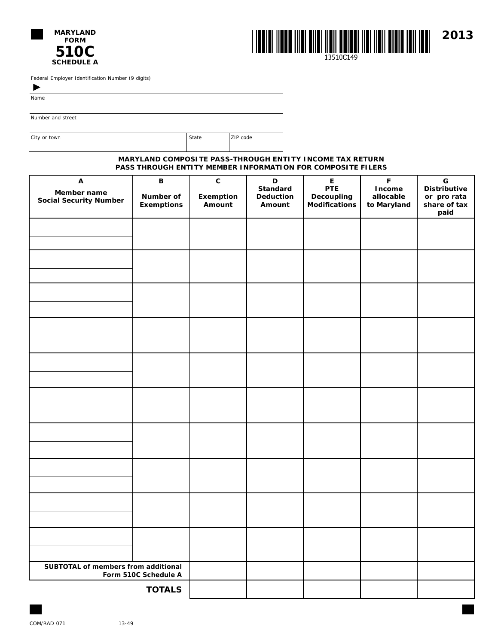



Federal Employer Identification Number (9 digits)

 $\blacktriangleright$ Name

Number and street

City or town and the City of the City of the City of the City of the City of the City of the City of the City of the City of the City of the City of the City of the City of the City of the City of the City of the City of t

## **MARYLAND COMPOSITE PASS-THROUGH ENTITY INCOME TAX RETURN PASS THROUGH ENTITY MEMBER INFORMATION FOR COMPOSITE FILERS**

| Α<br>Member name<br><b>Social Security Number</b> | В<br>Number of<br><b>Exemptions</b>   | $\mathbf{C}$<br>Exemption<br>Amount | D<br><b>Standard</b><br>Deduction<br>Amount | $\mathsf E$<br><b>PTE</b><br><b>Decoupling</b><br><b>Modifications</b> | $\mathsf F$<br>Income<br>allocable<br>to Maryland | $\mathbf G$<br><b>Distributive</b><br>or pro rata<br>share of tax<br>paid |
|---------------------------------------------------|---------------------------------------|-------------------------------------|---------------------------------------------|------------------------------------------------------------------------|---------------------------------------------------|---------------------------------------------------------------------------|
|                                                   |                                       |                                     |                                             |                                                                        |                                                   |                                                                           |
|                                                   |                                       |                                     |                                             |                                                                        |                                                   |                                                                           |
|                                                   |                                       |                                     |                                             |                                                                        |                                                   |                                                                           |
|                                                   |                                       |                                     |                                             |                                                                        |                                                   |                                                                           |
|                                                   |                                       |                                     |                                             |                                                                        |                                                   |                                                                           |
|                                                   |                                       |                                     |                                             |                                                                        |                                                   |                                                                           |
|                                                   |                                       |                                     |                                             |                                                                        |                                                   |                                                                           |
|                                                   |                                       |                                     |                                             |                                                                        |                                                   |                                                                           |
|                                                   |                                       |                                     |                                             |                                                                        |                                                   |                                                                           |
|                                                   |                                       |                                     |                                             |                                                                        |                                                   |                                                                           |
| SUBTOTAL of members from additional               |                                       |                                     |                                             |                                                                        |                                                   |                                                                           |
|                                                   | Form 510C Schedule A<br><b>TOTALS</b> |                                     |                                             |                                                                        |                                                   |                                                                           |